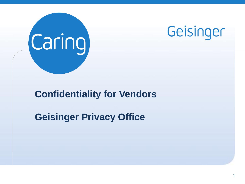



#### **Confidentiality for Vendors**

**Geisinger Privacy Office**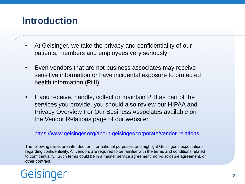### **Introduction**

- At Geisinger, we take the privacy and confidentiality of our patients, members and employees very seriously
- Even vendors that are not business associates may receive sensitive information or have incidental exposure to protected health information (PHI)
- If you receive, handle, collect or maintain PHI as part of the services you provide, you should also review our HIPAA and Privacy Overview For Our Business Associates available on the Vendor Relations page of our website:

<https://www.geisinger.org/about-geisinger/corporate/vendor-relations>

The following slides are intended for informational purposes, and highlight Geisinger's expectations regarding confidentiality. All vendors are required to be familiar with the terms and conditions related to confidentiality. Such terms could be in a master service agreement, non-disclosure agreement, or other contract.

# Geising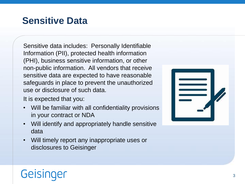### **Sensitive Data**

Sensitive data includes: Personally Identifiable Information (PII), protected health information (PHI), business sensitive information, or other non-public information. All vendors that receive sensitive data are expected to have reasonable safeguards in place to prevent the unauthorized use or disclosure of such data.

It is expected that you:

- Will be familiar with all confidentiality provisions in your contract or NDA
- Will identify and appropriately handle sensitive data
- Will timely report any inappropriate uses or disclosures to Geisinger



## Geisinger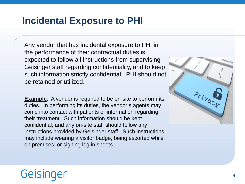#### **Incidental Exposure to PHI**

Any vendor that has incidental exposure to PHI in the performance of their contractual duties is expected to follow all instructions from supervising Geisinger staff regarding confidentiality, and to keep such information strictly confidential. PHI should not be retained or utilized.

**Example:** A vendor is required to be on-site to perform its duties. In performing its duties, the vendor's agents may come into contact with patients or information regarding their treatment. Such information should be kept confidential, and any on-site staff should follow any instructions provided by Geisinger staff. Such instructions may include wearing a visitor badge, being escorted while on premises, or signing log in sheets.



## Geisinger